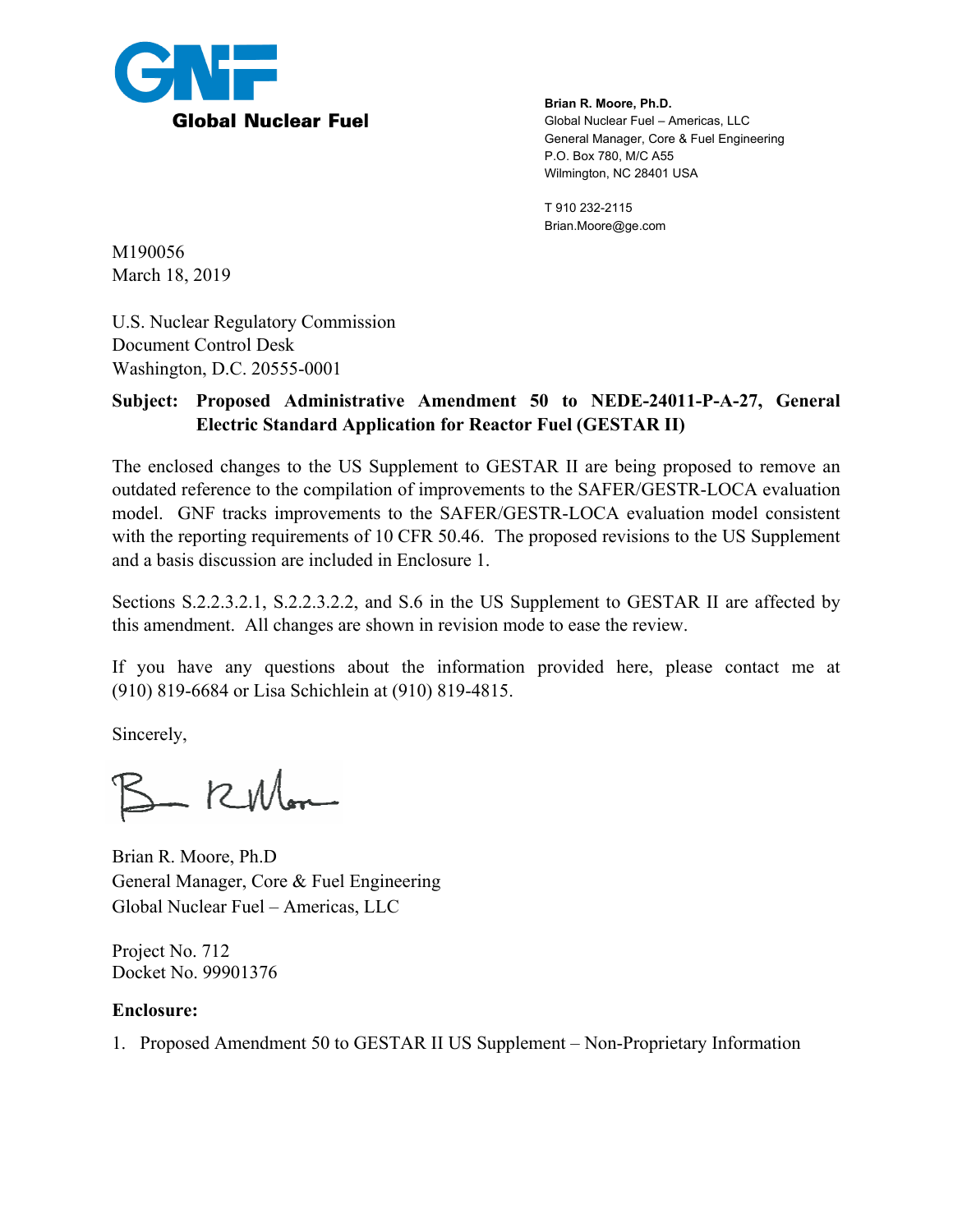

**Brian R. Moore, Ph.D.**  Global Nuclear Fuel – Americas, LLC General Manager, Core & Fuel Engineering P.O. Box 780, M/C A55 Wilmington, NC 28401 USA

T 910 232-2115 Brian.Moore@ge.com

M190056 March 18, 2019

U.S. Nuclear Regulatory Commission Document Control Desk Washington, D.C. 20555-0001

## **Subject: Proposed Administrative Amendment 50 to NEDE-24011-P-A-27, General Electric Standard Application for Reactor Fuel (GESTAR II)**

The enclosed changes to the US Supplement to GESTAR II are being proposed to remove an outdated reference to the compilation of improvements to the SAFER/GESTR-LOCA evaluation model. GNF tracks improvements to the SAFER/GESTR-LOCA evaluation model consistent with the reporting requirements of 10 CFR 50.46. The proposed revisions to the US Supplement and a basis discussion are included in Enclosure 1.

Sections S.2.2.3.2.1, S.2.2.3.2.2, and S.6 in the US Supplement to GESTAR II are affected by this amendment. All changes are shown in revision mode to ease the review.

If you have any questions about the information provided here, please contact me at (910) 819-6684 or Lisa Schichlein at (910) 819-4815.

Sincerely,

B-RMon

Brian R. Moore, Ph.D General Manager, Core & Fuel Engineering Global Nuclear Fuel – Americas, LLC

Project No. 712 Docket No. 99901376

#### **Enclosure:**

1. Proposed Amendment 50 to GESTAR II US Supplement – Non-Proprietary Information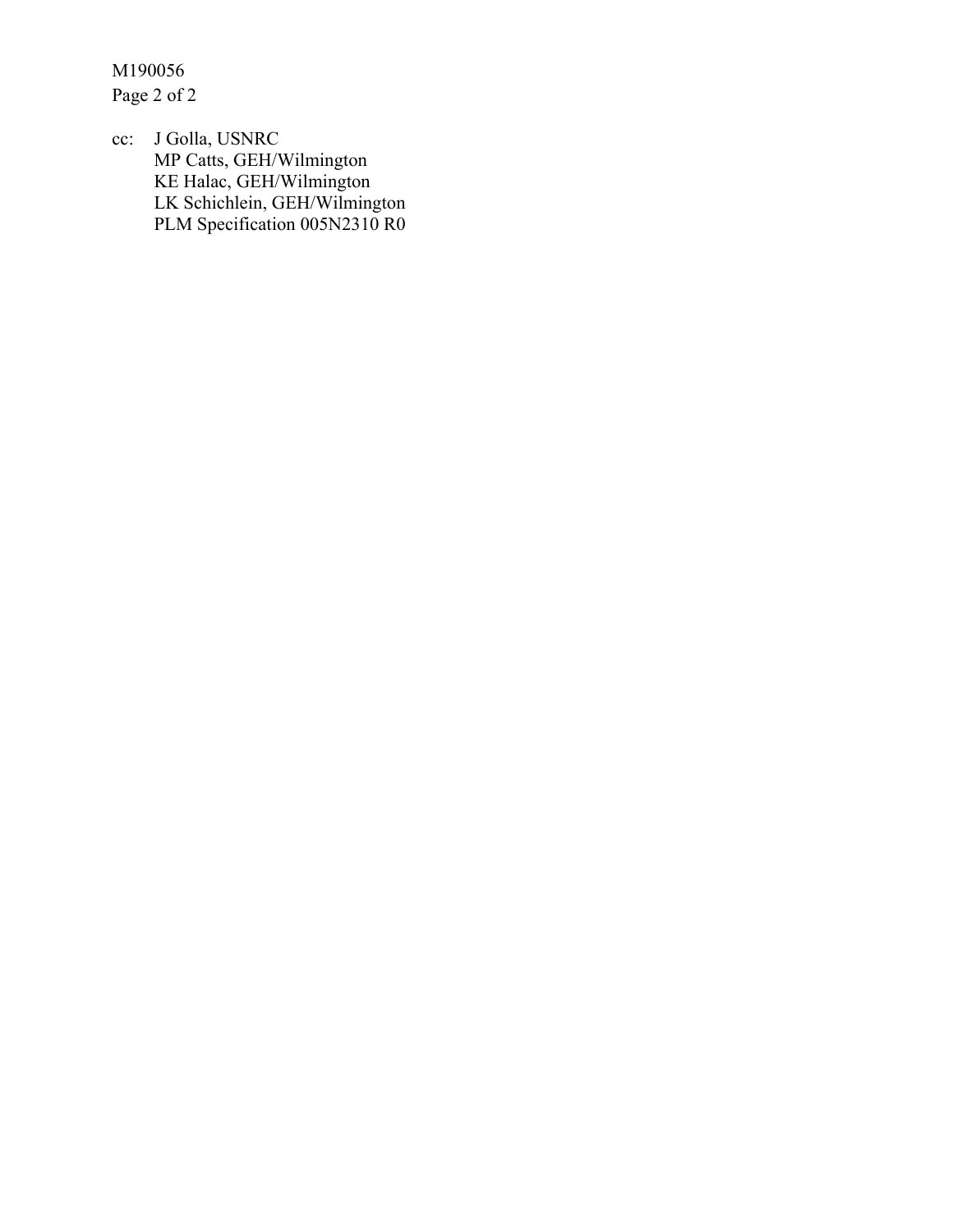M190056 Page 2 of 2

cc: J Golla, USNRC MP Catts, GEH/Wilmington KE Halac, GEH/Wilmington LK Schichlein, GEH/Wilmington PLM Specification 005N2310 R0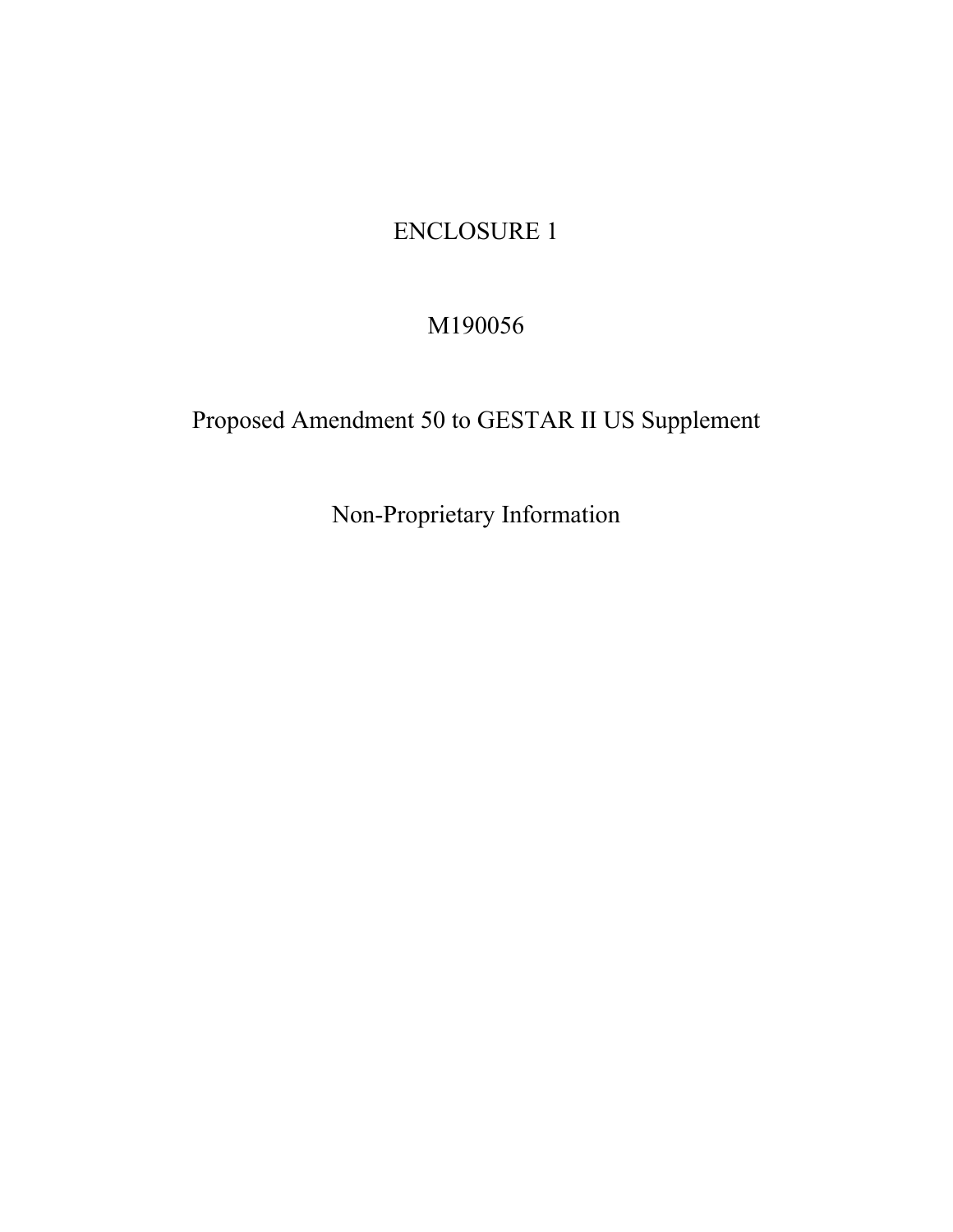# ENCLOSURE 1

# M190056

# Proposed Amendment 50 to GESTAR II US Supplement

Non-Proprietary Information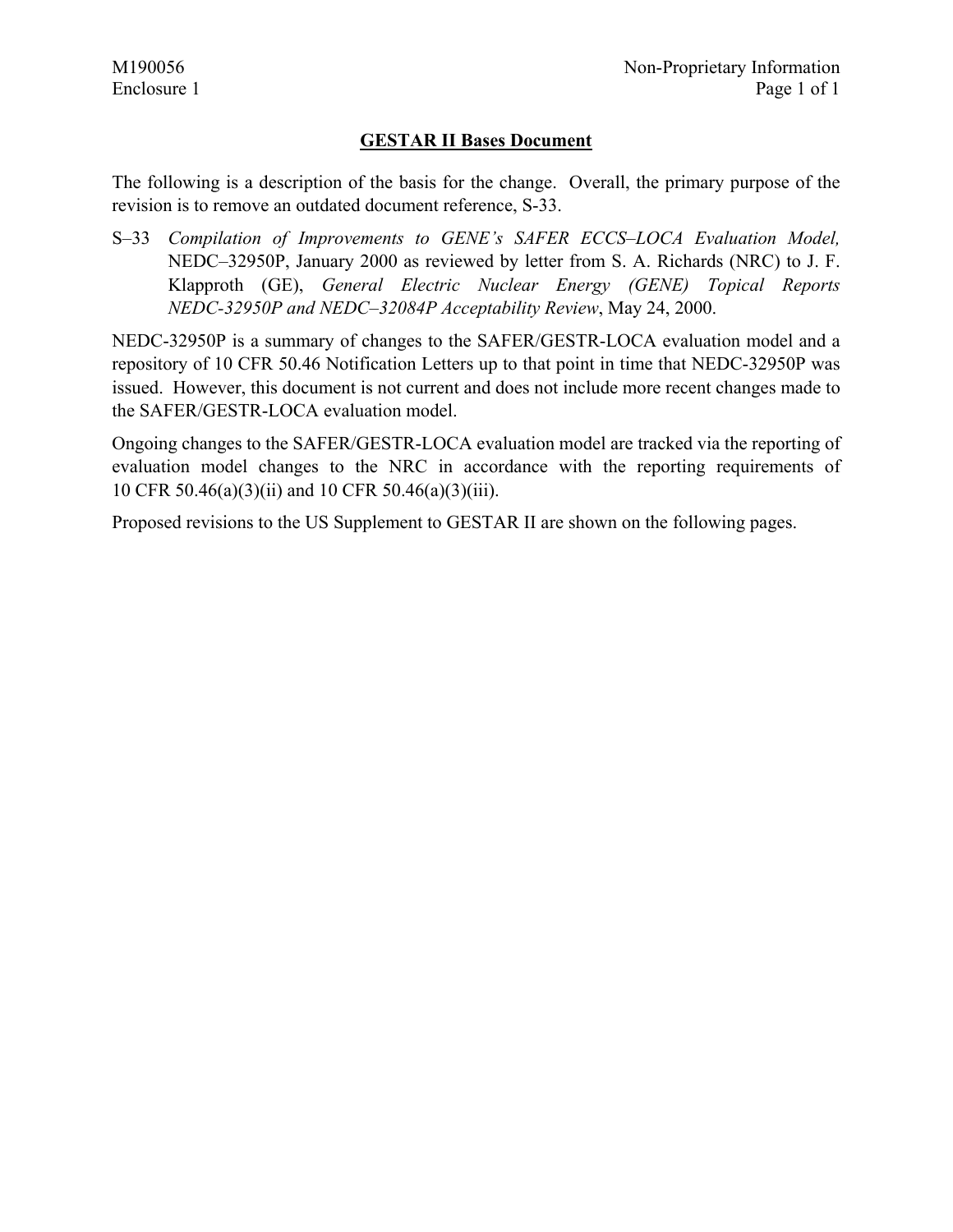#### **GESTAR II Bases Document**

The following is a description of the basis for the change. Overall, the primary purpose of the revision is to remove an outdated document reference, S-33.

S–33 *Compilation of Improvements to GENE's SAFER ECCS–LOCA Evaluation Model,* NEDC–32950P, January 2000 as reviewed by letter from S. A. Richards (NRC) to J. F. Klapproth (GE), *General Electric Nuclear Energy (GENE) Topical Reports NEDC-32950P and NEDC–32084P Acceptability Review*, May 24, 2000.

NEDC-32950P is a summary of changes to the SAFER/GESTR-LOCA evaluation model and a repository of 10 CFR 50.46 Notification Letters up to that point in time that NEDC-32950P was issued. However, this document is not current and does not include more recent changes made to the SAFER/GESTR-LOCA evaluation model.

Ongoing changes to the SAFER/GESTR-LOCA evaluation model are tracked via the reporting of evaluation model changes to the NRC in accordance with the reporting requirements of 10 CFR 50.46(a)(3)(ii) and 10 CFR 50.46(a)(3)(iii).

Proposed revisions to the US Supplement to GESTAR II are shown on the following pages.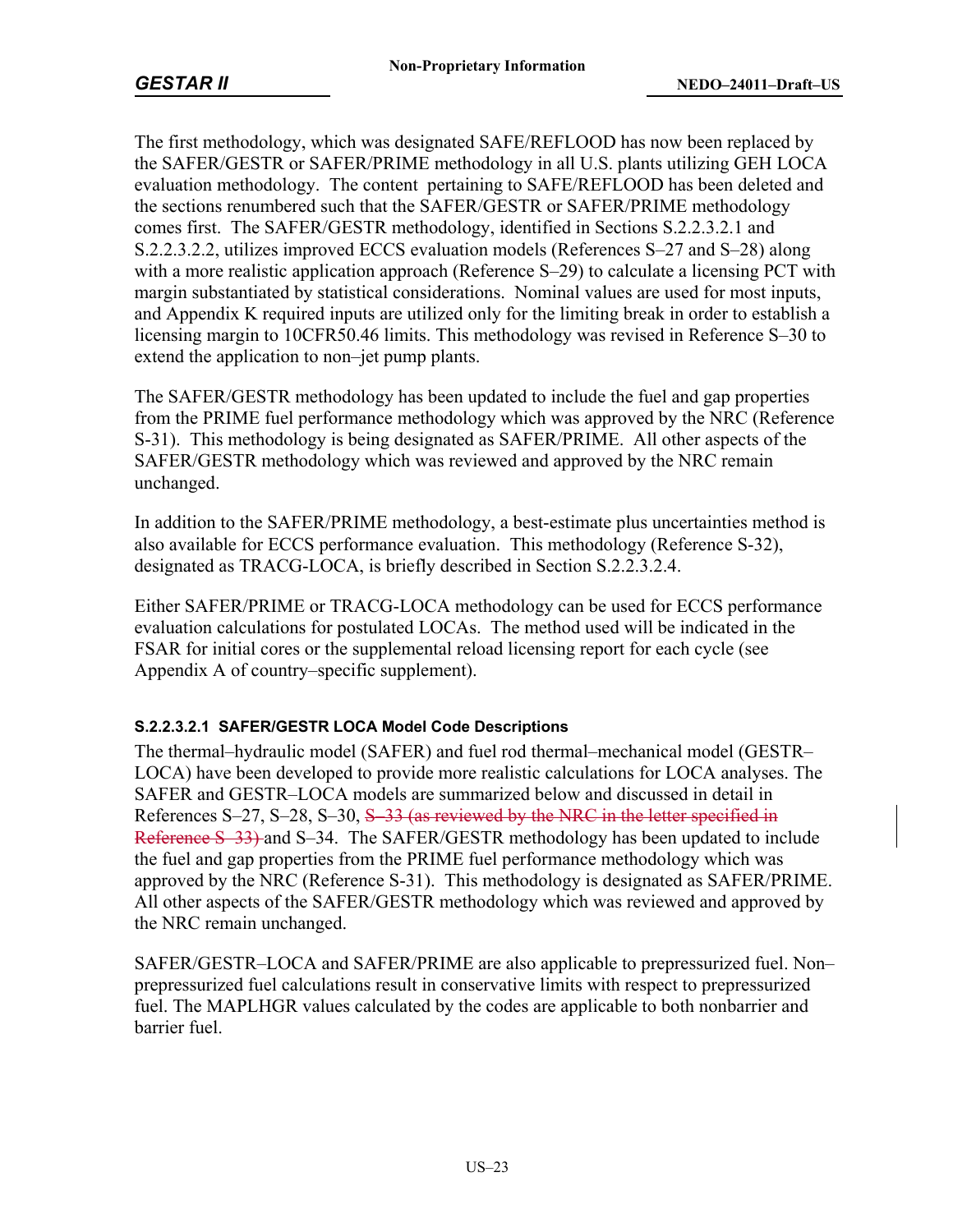The first methodology, which was designated SAFE/REFLOOD has now been replaced by the SAFER/GESTR or SAFER/PRIME methodology in all U.S. plants utilizing GEH LOCA evaluation methodology. The content pertaining to SAFE/REFLOOD has been deleted and the sections renumbered such that the SAFER/GESTR or SAFER/PRIME methodology comes first. The SAFER/GESTR methodology, identified in Sections S.2.2.3.2.1 and S.2.2.3.2.2, utilizes improved ECCS evaluation models (References S–27 and S–28) along with a more realistic application approach (Reference S–29) to calculate a licensing PCT with margin substantiated by statistical considerations. Nominal values are used for most inputs, and Appendix K required inputs are utilized only for the limiting break in order to establish a licensing margin to 10CFR50.46 limits. This methodology was revised in Reference S–30 to extend the application to non–jet pump plants.

The SAFER/GESTR methodology has been updated to include the fuel and gap properties from the PRIME fuel performance methodology which was approved by the NRC (Reference S-31). This methodology is being designated as SAFER/PRIME. All other aspects of the SAFER/GESTR methodology which was reviewed and approved by the NRC remain unchanged.

In addition to the SAFER/PRIME methodology, a best-estimate plus uncertainties method is also available for ECCS performance evaluation. This methodology (Reference S-32), designated as TRACG-LOCA, is briefly described in Section S.2.2.3.2.4.

Either SAFER/PRIME or TRACG-LOCA methodology can be used for ECCS performance evaluation calculations for postulated LOCAs. The method used will be indicated in the FSAR for initial cores or the supplemental reload licensing report for each cycle (see Appendix A of country–specific supplement).

## **S.2.2.3.2.1 SAFER/GESTR LOCA Model Code Descriptions**

The thermal–hydraulic model (SAFER) and fuel rod thermal–mechanical model (GESTR– LOCA) have been developed to provide more realistic calculations for LOCA analyses. The SAFER and GESTR–LOCA models are summarized below and discussed in detail in References S–27, S–28, S–30, S–33 (as reviewed by the NRC in the letter specified in Reference S–33) and S–34. The SAFER/GESTR methodology has been updated to include the fuel and gap properties from the PRIME fuel performance methodology which was approved by the NRC (Reference S-31). This methodology is designated as SAFER/PRIME. All other aspects of the SAFER/GESTR methodology which was reviewed and approved by the NRC remain unchanged.

SAFER/GESTR–LOCA and SAFER/PRIME are also applicable to prepressurized fuel. Non– prepressurized fuel calculations result in conservative limits with respect to prepressurized fuel. The MAPLHGR values calculated by the codes are applicable to both nonbarrier and barrier fuel.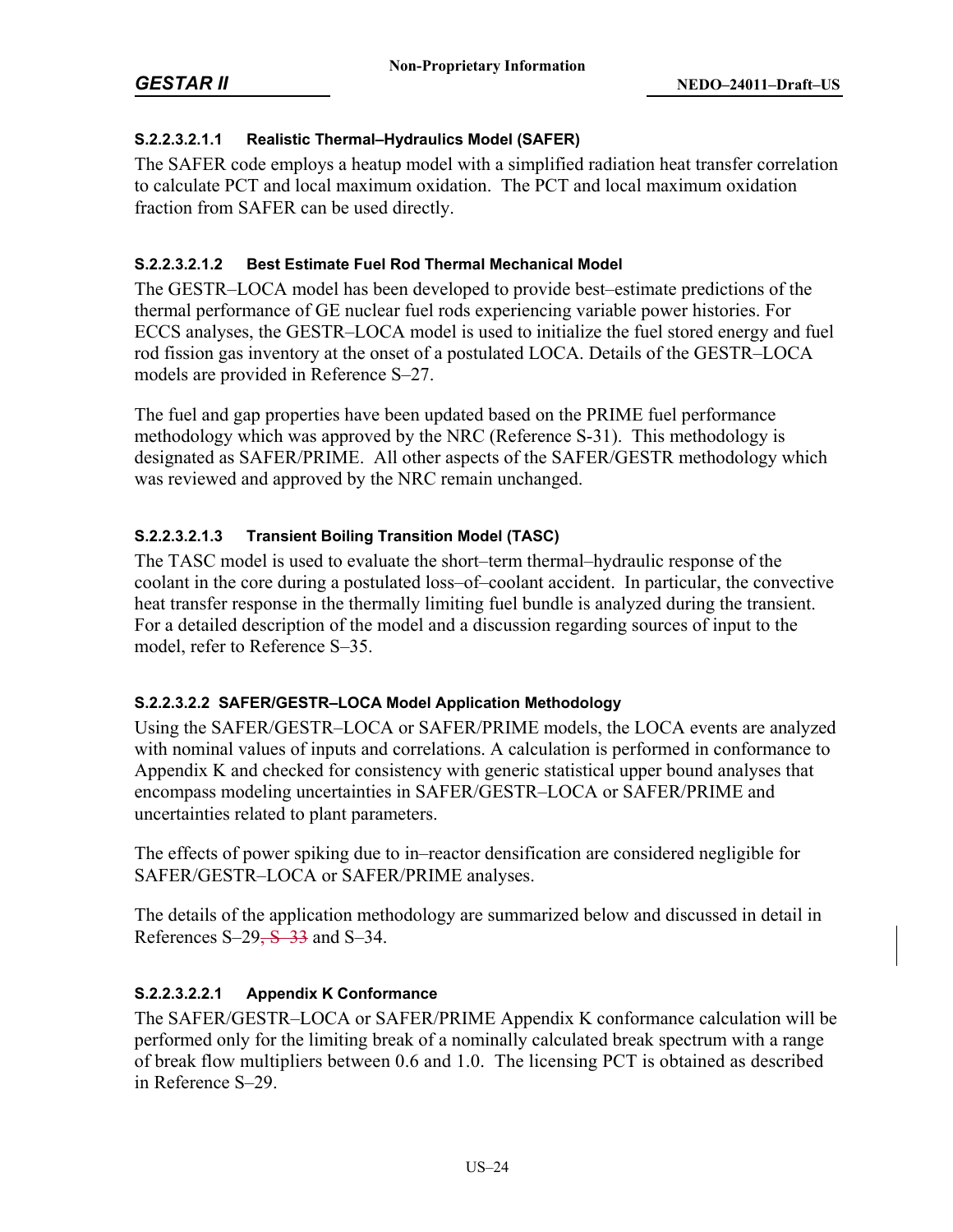## **S.2.2.3.2.1.1 Realistic Thermal–Hydraulics Model (SAFER)**

The SAFER code employs a heatup model with a simplified radiation heat transfer correlation to calculate PCT and local maximum oxidation. The PCT and local maximum oxidation fraction from SAFER can be used directly.

#### **S.2.2.3.2.1.2 Best Estimate Fuel Rod Thermal Mechanical Model**

The GESTR–LOCA model has been developed to provide best–estimate predictions of the thermal performance of GE nuclear fuel rods experiencing variable power histories. For ECCS analyses, the GESTR–LOCA model is used to initialize the fuel stored energy and fuel rod fission gas inventory at the onset of a postulated LOCA. Details of the GESTR–LOCA models are provided in Reference S–27.

The fuel and gap properties have been updated based on the PRIME fuel performance methodology which was approved by the NRC (Reference S-31). This methodology is designated as SAFER/PRIME. All other aspects of the SAFER/GESTR methodology which was reviewed and approved by the NRC remain unchanged.

#### **S.2.2.3.2.1.3 Transient Boiling Transition Model (TASC)**

The TASC model is used to evaluate the short–term thermal–hydraulic response of the coolant in the core during a postulated loss–of–coolant accident. In particular, the convective heat transfer response in the thermally limiting fuel bundle is analyzed during the transient. For a detailed description of the model and a discussion regarding sources of input to the model, refer to Reference S–35.

#### **S.2.2.3.2.2 SAFER/GESTR–LOCA Model Application Methodology**

Using the SAFER/GESTR–LOCA or SAFER/PRIME models, the LOCA events are analyzed with nominal values of inputs and correlations. A calculation is performed in conformance to Appendix K and checked for consistency with generic statistical upper bound analyses that encompass modeling uncertainties in SAFER/GESTR–LOCA or SAFER/PRIME and uncertainties related to plant parameters.

The effects of power spiking due to in–reactor densification are considered negligible for SAFER/GESTR–LOCA or SAFER/PRIME analyses.

The details of the application methodology are summarized below and discussed in detail in References S–29, S–33 and S–34.

## **S.2.2.3.2.2.1 Appendix K Conformance**

The SAFER/GESTR–LOCA or SAFER/PRIME Appendix K conformance calculation will be performed only for the limiting break of a nominally calculated break spectrum with a range of break flow multipliers between 0.6 and 1.0. The licensing PCT is obtained as described in Reference S–29.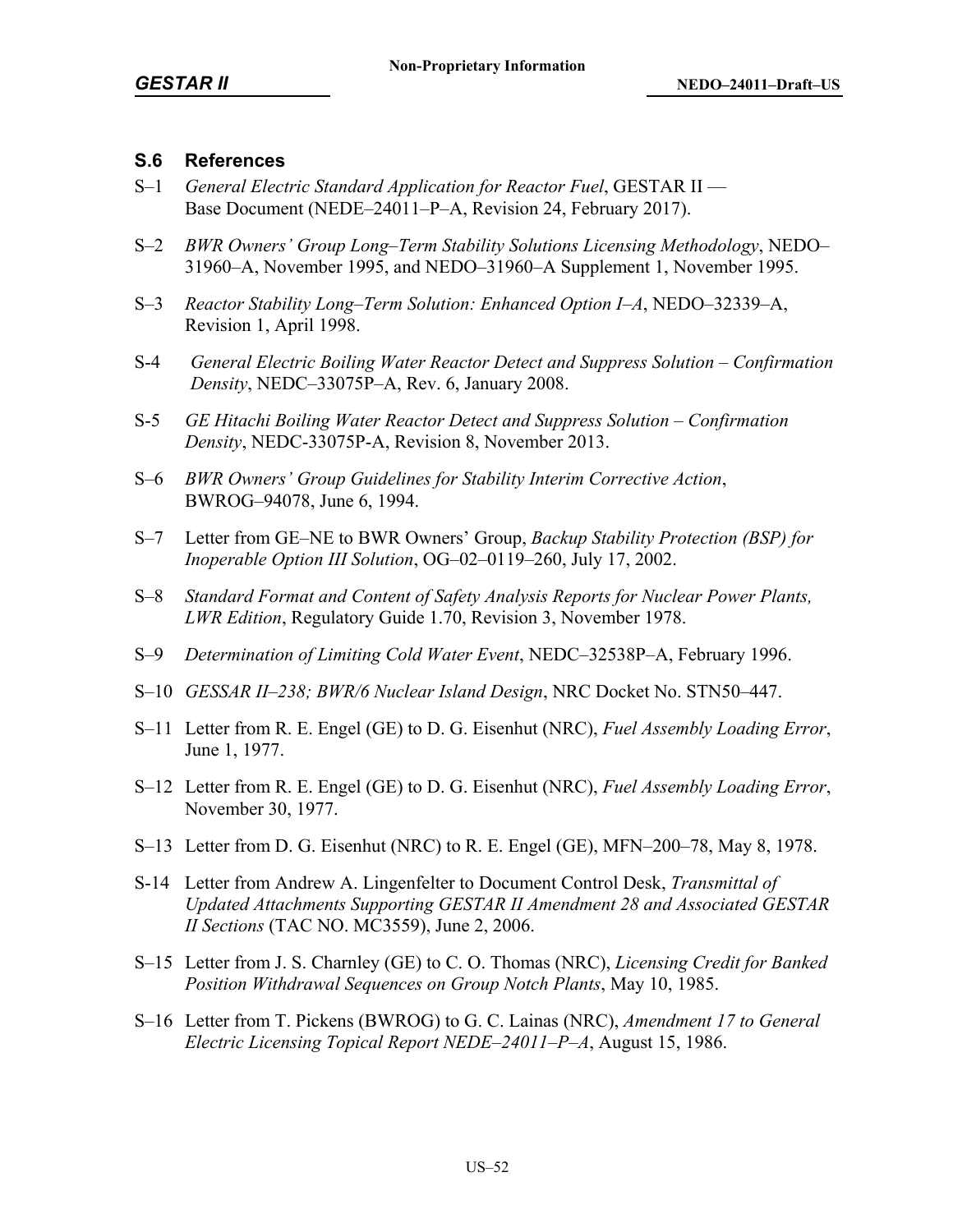#### **S.6 References**

- S–1 *General Electric Standard Application for Reactor Fuel*, GESTAR II Base Document (NEDE–24011–P–A, Revision 24, February 2017).
- S–2 *BWR Owners' Group Long–Term Stability Solutions Licensing Methodology*, NEDO– 31960–A, November 1995, and NEDO–31960–A Supplement 1, November 1995.
- S–3 *Reactor Stability Long–Term Solution: Enhanced Option I–A*, NEDO–32339–A, Revision 1, April 1998.
- S-4 *General Electric Boiling Water Reactor Detect and Suppress Solution Confirmation Density*, NEDC–33075P–A, Rev. 6, January 2008.
- S-5 *GE Hitachi Boiling Water Reactor Detect and Suppress Solution Confirmation Density*, NEDC-33075P-A, Revision 8, November 2013.
- S–6 *BWR Owners' Group Guidelines for Stability Interim Corrective Action*, BWROG–94078, June 6, 1994.
- S–7 Letter from GE–NE to BWR Owners' Group, *Backup Stability Protection (BSP) for Inoperable Option III Solution*, OG–02–0119–260, July 17, 2002.
- S–8 *Standard Format and Content of Safety Analysis Reports for Nuclear Power Plants, LWR Edition*, Regulatory Guide 1.70, Revision 3, November 1978.
- S–9 *Determination of Limiting Cold Water Event*, NEDC–32538P–A, February 1996.
- S–10 *GESSAR II–238; BWR/6 Nuclear Island Design*, NRC Docket No. STN50–447.
- S–11 Letter from R. E. Engel (GE) to D. G. Eisenhut (NRC), *Fuel Assembly Loading Error*, June 1, 1977.
- S–12 Letter from R. E. Engel (GE) to D. G. Eisenhut (NRC), *Fuel Assembly Loading Error*, November 30, 1977.
- S–13 Letter from D. G. Eisenhut (NRC) to R. E. Engel (GE), MFN–200–78, May 8, 1978.
- S-14 Letter from Andrew A. Lingenfelter to Document Control Desk, *Transmittal of Updated Attachments Supporting GESTAR II Amendment 28 and Associated GESTAR II Sections* (TAC NO. MC3559), June 2, 2006.
- S–15 Letter from J. S. Charnley (GE) to C. O. Thomas (NRC), *Licensing Credit for Banked Position Withdrawal Sequences on Group Notch Plants*, May 10, 1985.
- S–16 Letter from T. Pickens (BWROG) to G. C. Lainas (NRC), *Amendment 17 to General Electric Licensing Topical Report NEDE–24011–P–A*, August 15, 1986.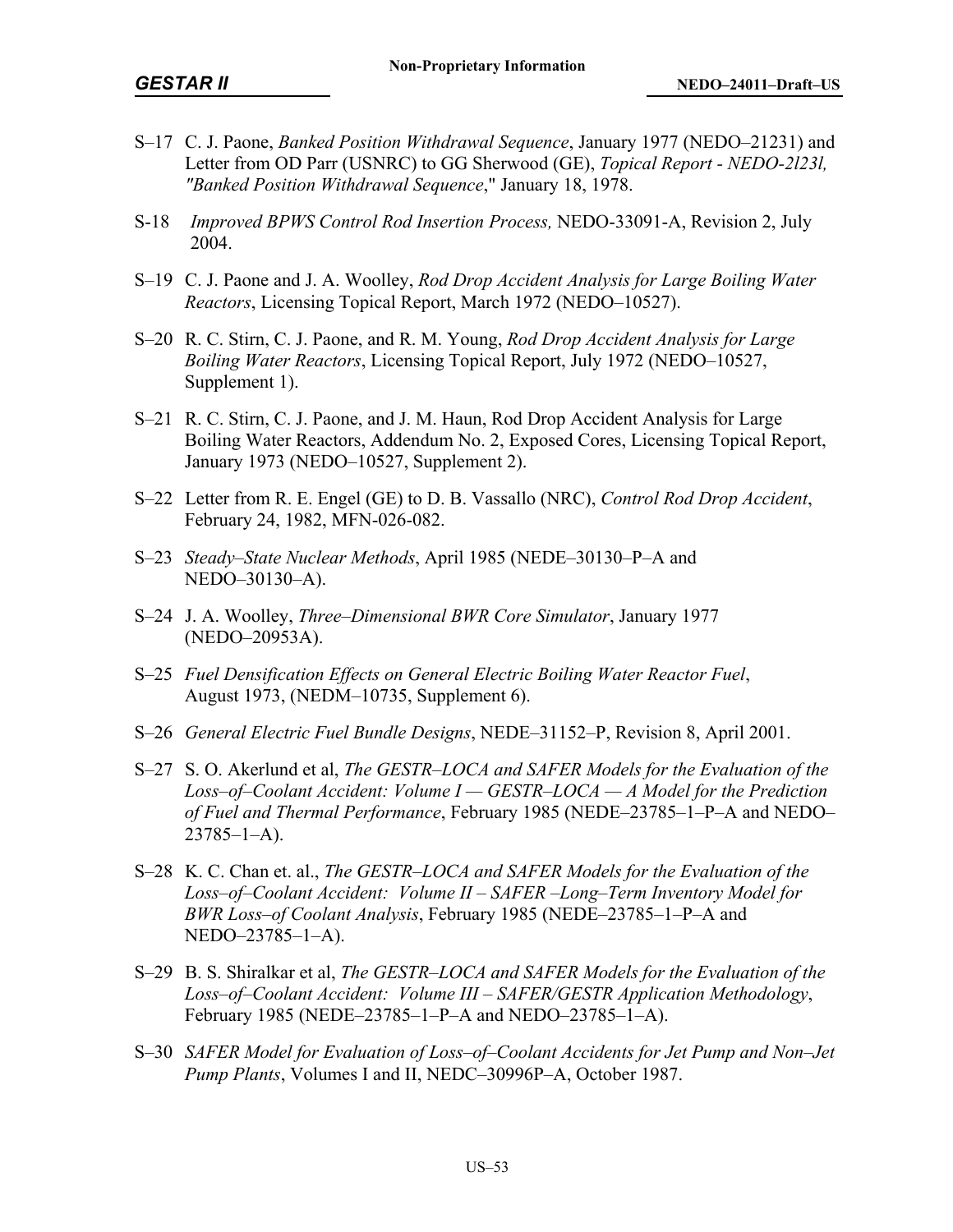- S–17 C. J. Paone, *Banked Position Withdrawal Sequence*, January 1977 (NEDO–21231) and Letter from OD Parr (USNRC) to GG Sherwood (GE), *Topical Report - NEDO-2l23l, "Banked Position Withdrawal Sequence*," January 18, 1978.
- S-18 *Improved BPWS Control Rod Insertion Process,* NEDO-33091-A, Revision 2, July 2004.
- S–19 C. J. Paone and J. A. Woolley, *Rod Drop Accident Analysis for Large Boiling Water Reactors*, Licensing Topical Report, March 1972 (NEDO–10527).
- S–20 R. C. Stirn, C. J. Paone, and R. M. Young, *Rod Drop Accident Analysis for Large Boiling Water Reactors*, Licensing Topical Report, July 1972 (NEDO–10527, Supplement 1).
- S–21 R. C. Stirn, C. J. Paone, and J. M. Haun, Rod Drop Accident Analysis for Large Boiling Water Reactors, Addendum No. 2, Exposed Cores, Licensing Topical Report, January 1973 (NEDO–10527, Supplement 2).
- S–22 Letter from R. E. Engel (GE) to D. B. Vassallo (NRC), *Control Rod Drop Accident*, February 24, 1982, MFN-026-082.
- S–23 *Steady–State Nuclear Methods*, April 1985 (NEDE–30130–P–A and NEDO–30130–A).
- S–24 J. A. Woolley, *Three–Dimensional BWR Core Simulator*, January 1977 (NEDO–20953A).
- S–25 *Fuel Densification Effects on General Electric Boiling Water Reactor Fuel*, August 1973, (NEDM–10735, Supplement 6).
- S–26 *General Electric Fuel Bundle Designs*, NEDE–31152–P, Revision 8, April 2001.
- S–27 S. O. Akerlund et al, *The GESTR–LOCA and SAFER Models for the Evaluation of the Loss–of–Coolant Accident: Volume I — GESTR–LOCA — A Model for the Prediction of Fuel and Thermal Performance*, February 1985 (NEDE–23785–1–P–A and NEDO–  $23785 - 1 - A$ ).
- S–28 K. C. Chan et. al., *The GESTR–LOCA and SAFER Models for the Evaluation of the Loss–of–Coolant Accident: Volume II – SAFER –Long–Term Inventory Model for BWR Loss–of Coolant Analysis*, February 1985 (NEDE–23785–1–P–A and NEDO–23785–1–A).
- S–29 B. S. Shiralkar et al, *The GESTR–LOCA and SAFER Models for the Evaluation of the Loss–of–Coolant Accident: Volume III – SAFER/GESTR Application Methodology*, February 1985 (NEDE–23785–1–P–A and NEDO–23785–1–A).
- S–30 *SAFER Model for Evaluation of Loss–of–Coolant Accidents for Jet Pump and Non–Jet Pump Plants*, Volumes I and II, NEDC–30996P–A, October 1987.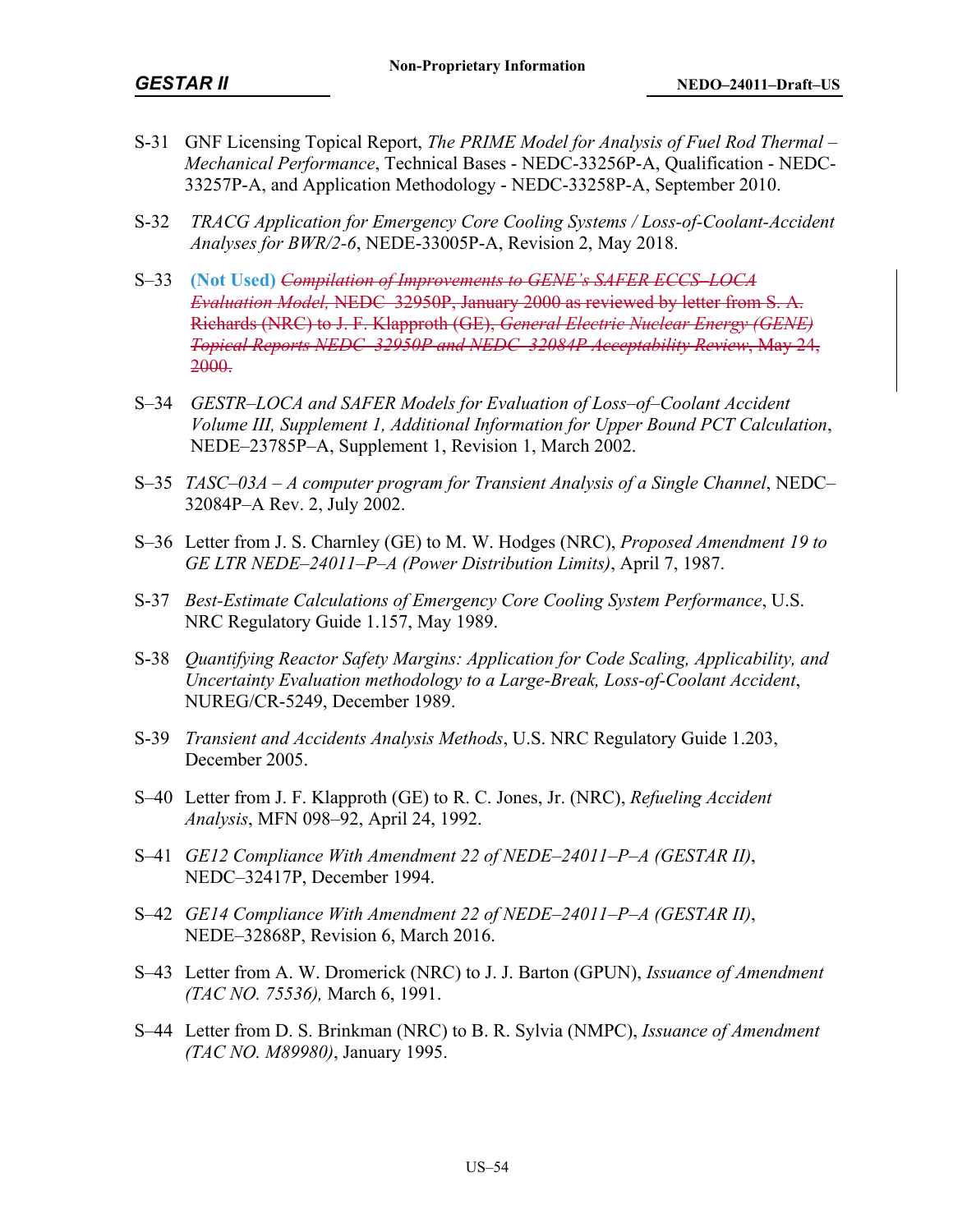- S-31 GNF Licensing Topical Report, *The PRIME Model for Analysis of Fuel Rod Thermal Mechanical Performance*, Technical Bases - NEDC-33256P-A, Qualification - NEDC-33257P-A, and Application Methodology - NEDC-33258P-A, September 2010.
- S-32 *TRACG Application for Emergency Core Cooling Systems / Loss-of-Coolant-Accident Analyses for BWR/2-6*, NEDE-33005P-A, Revision 2, May 2018.
- S–33 **(Not Used)** *Compilation of Improvements to GENE's SAFER ECCS–LOCA Evaluation Model,* NEDC–32950P, January 2000 as reviewed by letter from S. A. Richards (NRC) to J. F. Klapproth (GE), *General Electric Nuclear Energy (GENE) Topical Reports NEDC–32950P and NEDC–32084P Acceptability Review*, May 24, 2000.
- S–34 *GESTR–LOCA and SAFER Models for Evaluation of Loss–of–Coolant Accident Volume III, Supplement 1, Additional Information for Upper Bound PCT Calculation*, NEDE–23785P–A, Supplement 1, Revision 1, March 2002.
- S–35 *TASC–03A A computer program for Transient Analysis of a Single Channel*, NEDC– 32084P–A Rev. 2, July 2002.
- S–36 Letter from J. S. Charnley (GE) to M. W. Hodges (NRC), *Proposed Amendment 19 to GE LTR NEDE–24011–P–A (Power Distribution Limits)*, April 7, 1987.
- S-37 *Best-Estimate Calculations of Emergency Core Cooling System Performance*, U.S. NRC Regulatory Guide 1.157, May 1989.
- S-38 *Quantifying Reactor Safety Margins: Application for Code Scaling, Applicability, and Uncertainty Evaluation methodology to a Large-Break, Loss-of-Coolant Accident*, NUREG/CR-5249, December 1989.
- S-39 *Transient and Accidents Analysis Methods*, U.S. NRC Regulatory Guide 1.203, December 2005.
- S–40 Letter from J. F. Klapproth (GE) to R. C. Jones, Jr. (NRC), *Refueling Accident Analysis*, MFN 098–92, April 24, 1992.
- S–41 *GE12 Compliance With Amendment 22 of NEDE–24011–P–A (GESTAR II)*, NEDC–32417P, December 1994.
- S–42 *GE14 Compliance With Amendment 22 of NEDE–24011–P–A (GESTAR II)*, NEDE–32868P, Revision 6, March 2016.
- S–43 Letter from A. W. Dromerick (NRC) to J. J. Barton (GPUN), *Issuance of Amendment (TAC NO. 75536),* March 6, 1991.
- S–44 Letter from D. S. Brinkman (NRC) to B. R. Sylvia (NMPC), *Issuance of Amendment (TAC NO. M89980)*, January 1995.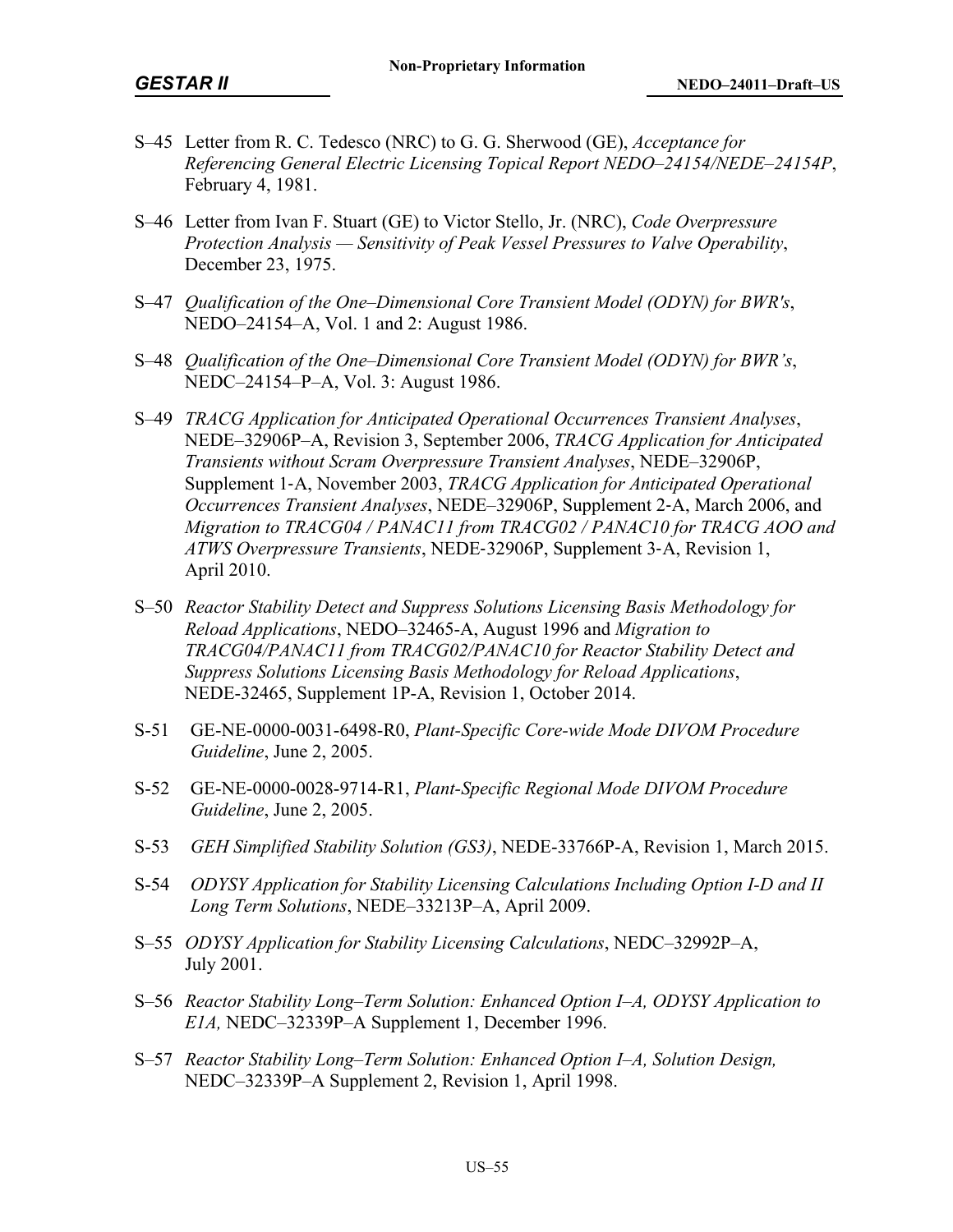- S–45 Letter from R. C. Tedesco (NRC) to G. G. Sherwood (GE), *Acceptance for Referencing General Electric Licensing Topical Report NEDO–24154/NEDE–24154P*, February 4, 1981.
- S–46 Letter from Ivan F. Stuart (GE) to Victor Stello, Jr. (NRC), *Code Overpressure Protection Analysis — Sensitivity of Peak Vessel Pressures to Valve Operability*, December 23, 1975.
- S–47 *Qualification of the One–Dimensional Core Transient Model (ODYN) for BWR's*, NEDO–24154–A, Vol. 1 and 2: August 1986.
- S–48 *Qualification of the One–Dimensional Core Transient Model (ODYN) for BWR's*, NEDC–24154–P–A, Vol. 3: August 1986.
- S–49 *TRACG Application for Anticipated Operational Occurrences Transient Analyses*, NEDE–32906P–A, Revision 3, September 2006, *TRACG Application for Anticipated Transients without Scram Overpressure Transient Analyses*, NEDE–32906P, Supplement 1‐A, November 2003, *TRACG Application for Anticipated Operational Occurrences Transient Analyses*, NEDE–32906P, Supplement 2‐A, March 2006, and *Migration to TRACG04 / PANAC11 from TRACG02 / PANAC10 for TRACG AOO and ATWS Overpressure Transients*, NEDE‐32906P, Supplement 3‐A, Revision 1, April 2010.
- S–50 *Reactor Stability Detect and Suppress Solutions Licensing Basis Methodology for Reload Applications*, NEDO–32465-A, August 1996 and *Migration to TRACG04/PANAC11 from TRACG02/PANAC10 for Reactor Stability Detect and Suppress Solutions Licensing Basis Methodology for Reload Applications*, NEDE-32465, Supplement 1P-A, Revision 1, October 2014.
- S-51 GE-NE-0000-0031-6498-R0, *Plant-Specific Core-wide Mode DIVOM Procedure Guideline*, June 2, 2005.
- S-52 GE-NE-0000-0028-9714-R1, *Plant-Specific Regional Mode DIVOM Procedure Guideline*, June 2, 2005.
- S-53 *GEH Simplified Stability Solution (GS3)*, NEDE-33766P-A, Revision 1, March 2015.
- S-54 *ODYSY Application for Stability Licensing Calculations Including Option I-D and II Long Term Solutions*, NEDE–33213P–A, April 2009.
- S–55 *ODYSY Application for Stability Licensing Calculations*, NEDC–32992P–A, July 2001.
- S–56 *Reactor Stability Long–Term Solution: Enhanced Option I–A, ODYSY Application to E1A,* NEDC–32339P–A Supplement 1, December 1996.
- S–57 *Reactor Stability Long–Term Solution: Enhanced Option I–A, Solution Design,*  NEDC–32339P–A Supplement 2, Revision 1, April 1998.